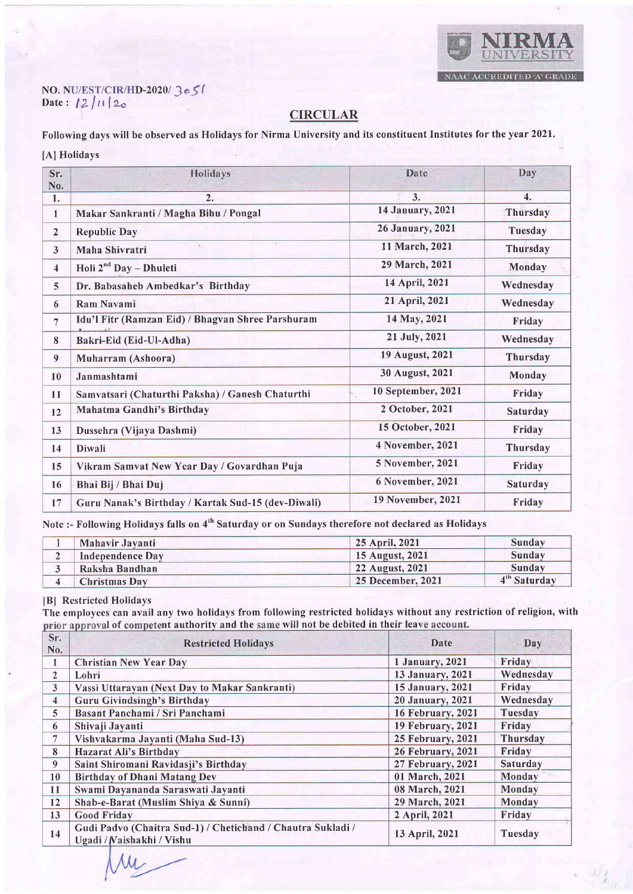

## No. NU/EST/CIR/HD-2020| ) o \$ ( Date:  $12/11/2$

## CIRCULAR

Following days will be observed as Holidays for Nirma University and its constituent Institutes for the year 2021. [A] Holidays

| Sr.<br>No.              | Holidays                                           | Date                    | Day                       |
|-------------------------|----------------------------------------------------|-------------------------|---------------------------|
| 1.                      | 2.                                                 | 3.                      | $\overline{\mathbf{4}}$ . |
| 1                       | Makar Sankranti / Magha Bihu / Pongal              | 14 January, 2021        | Thursday                  |
| $\overline{2}$          | <b>Republic Day</b>                                | <b>26 January, 2021</b> | Tuesday                   |
| $\mathbf{3}$            | Maha Shivratri                                     | 11 March, 2021          | Thursday                  |
| $\overline{\mathbf{4}}$ | Holi $2^{nd}$ Day - Dhuleti                        | 29 March, 2021          | Monday                    |
| 5                       | Dr. Babasaheb Ambedkar's Birthday                  | 14 April, 2021          | Wednesday                 |
| 6                       | <b>Ram Navami</b>                                  | 21 April, 2021          | Wednesday                 |
| 7                       | Idu'l Fitr (Ramzan Eid) / Bhagvan Shree Parshuram  | 14 May, 2021            | Friday                    |
| 8                       | Bakri-Eid (Eid-Ul-Adha)                            | 21 July, 2021           | Wednesday                 |
| 9                       | Muharram (Ashoora)                                 | 19 August, 2021         | Thursday                  |
| 10                      | Janmashtami                                        | 30 August, 2021         | Monday                    |
| 11                      | Samvatsari (Chaturthi Paksha) / Ganesh Chaturthi   | 10 September, 2021      | Friday                    |
| 12                      | Mahatma Gandhi's Birthday                          | 2 October, 2021         | Saturday                  |
| 13                      | Dussehra (Vijaya Dashmi)                           | 15 October, 2021        | Friday                    |
| 14                      | Diwali                                             | 4 November, 2021        | Thursday                  |
| 15                      | Vikram Samvat New Year Day / Govardhan Puja        | 5 November, 2021        | Friday                    |
| 16                      | Bhai Bij / Bhai Duj                                | 6 November, 2021        | Saturday                  |
| 17                      | Guru Nanak's Birthday / Kartak Sud-15 (dev-Diwali) | 19 November, 2021       | Friday                    |

Note :- Following Holidays falls on 4<sup>th</sup> Saturday or on Sundays therefore not declared as Holidays

| Mahavir Javanti      | 25 April, 2021    | Sunday        |
|----------------------|-------------------|---------------|
| Independence Day     | 15 August, 2021   | Sunday        |
| Raksha Bandhan       | 22 August, 2021   | Sunday        |
| <b>Christmas Day</b> | 25 December, 2021 | $4m$ Saturday |

## <sup>I</sup>Bl Restricted Holidays

 $M_{-}$ 

The employees can avail any two holidays from following restricted holidays without any restriction of religion, with prior approval of competent authority and the same will not be debited in their leave account.

| Sr.<br>No.              | <b>Restricted Holidays</b>                                                               | Date                     | Day       |
|-------------------------|------------------------------------------------------------------------------------------|--------------------------|-----------|
|                         | <b>Christian New Year Day</b>                                                            | 1 January, 2021          | Friday    |
| $\overline{2}$          | Lohri                                                                                    | 13 January, 2021         | Wednesday |
| 3 <sup>2</sup>          | Vassi Uttarayan (Next Day to Makar Sankranti)                                            | 15 January, 2021         | Friday    |
| 4 <sup>1</sup>          | <b>Guru Givindsingh's Birthday</b>                                                       | 20 January, 2021         | Wednesday |
| $\overline{\mathbf{5}}$ | Basant Panchami / Sri Panchami                                                           | <b>16 February, 2021</b> | Tuesday   |
| 6                       | Shivaji Jayanti                                                                          | 19 February, 2021        | Friday    |
| 7                       | Vishvakarma Jayanti (Maha Sud-13)                                                        | <b>25 February, 2021</b> | Thursday  |
| 8                       | <b>Hazarat Ali's Birthday</b>                                                            | <b>26 February, 2021</b> | Friday    |
| 9                       | Saint Shiromani Ravidasji's Birthday                                                     | 27 February, 2021        | Saturday  |
| 10                      | <b>Birthday of Dhani Matang Dev</b>                                                      | 01 March, 2021           | Monday    |
| 11                      | Swami Dayananda Saraswati Jayanti                                                        | 08 March, 2021           | Monday    |
| 12                      | Shab-e-Barat (Muslim Shiya & Sunni)                                                      | 29 March, 2021           | Monday    |
| 13                      | <b>Good Friday</b>                                                                       | 2 April, 2021            | Friday    |
| 14                      | Gudi Padvo (Chaitra Sud-1) / Chetichand / Chautra Sukladi /<br>Ugadi / Naishakhi / Vishu | 13 April, 2021           | Tuesday   |